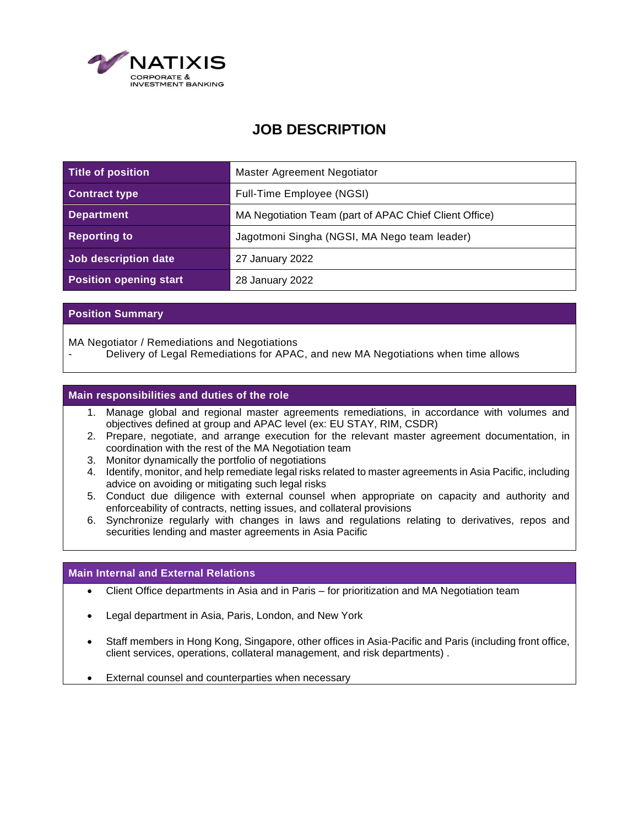

# **JOB DESCRIPTION**

| Title of position             | Master Agreement Negotiator                            |
|-------------------------------|--------------------------------------------------------|
| <b>Contract type</b>          | Full-Time Employee (NGSI)                              |
| <b>Department</b>             | MA Negotiation Team (part of APAC Chief Client Office) |
| <b>Reporting to</b>           | Jagotmoni Singha (NGSI, MA Nego team leader)           |
| Job description date          | 27 January 2022                                        |
| <b>Position opening start</b> | 28 January 2022                                        |

## **Position Summary**

MA Negotiator / Remediations and Negotiations

Delivery of Legal Remediations for APAC, and new MA Negotiations when time allows

### **Main responsibilities and duties of the role**

- 1. Manage global and regional master agreements remediations, in accordance with volumes and objectives defined at group and APAC level (ex: EU STAY, RIM, CSDR)
- 2. Prepare, negotiate, and arrange execution for the relevant master agreement documentation, in coordination with the rest of the MA Negotiation team
- 3. Monitor dynamically the portfolio of negotiations
- 4. Identify, monitor, and help remediate legal risks related to master agreements in Asia Pacific, including advice on avoiding or mitigating such legal risks
- 5. Conduct due diligence with external counsel when appropriate on capacity and authority and enforceability of contracts, netting issues, and collateral provisions
- 6. Synchronize regularly with changes in laws and regulations relating to derivatives, repos and securities lending and master agreements in Asia Pacific

#### **Main Internal and External Relations**

- Client Office departments in Asia and in Paris for prioritization and MA Negotiation team
- Legal department in Asia, Paris, London, and New York
- Staff members in Hong Kong, Singapore, other offices in Asia-Pacific and Paris (including front office, client services, operations, collateral management, and risk departments) .
- External counsel and counterparties when necessary